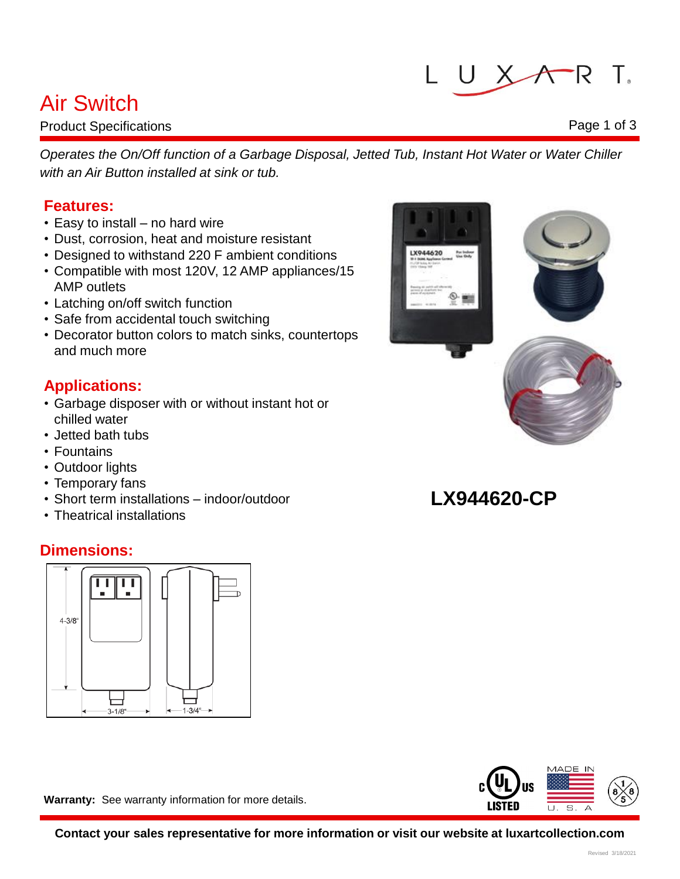# LUXART.

### Air Switch

Product Specifications

*Operates the On/Off function of a Garbage Disposal, Jetted Tub, Instant Hot Water or Water Chiller with an Air Button installed at sink or tub.*

### **Features:**

- Easy to install no hard wire
- Dust, corrosion, heat and moisture resistant
- Designed to withstand 220 F ambient conditions
- Compatible with most 120V, 12 AMP appliances/15 AMP outlets
- Latching on/off switch function
- Safe from accidental touch switching
- Decorator button colors to match sinks, countertops and much more

### **Applications:**

- Garbage disposer with or without instant hot or chilled water
- Jetted bath tubs
- Fountains
- Outdoor lights
- Temporary fans
- Short term installations indoor/outdoor
- Theatrical installations

### **Dimensions:**



**Warranty:** See warranty information for more details.

**Contact your sales representative for more information or visit our website at luxartcollection.com**



**LX944620-CP**





Revised 3/18/2021

Page 1 of 3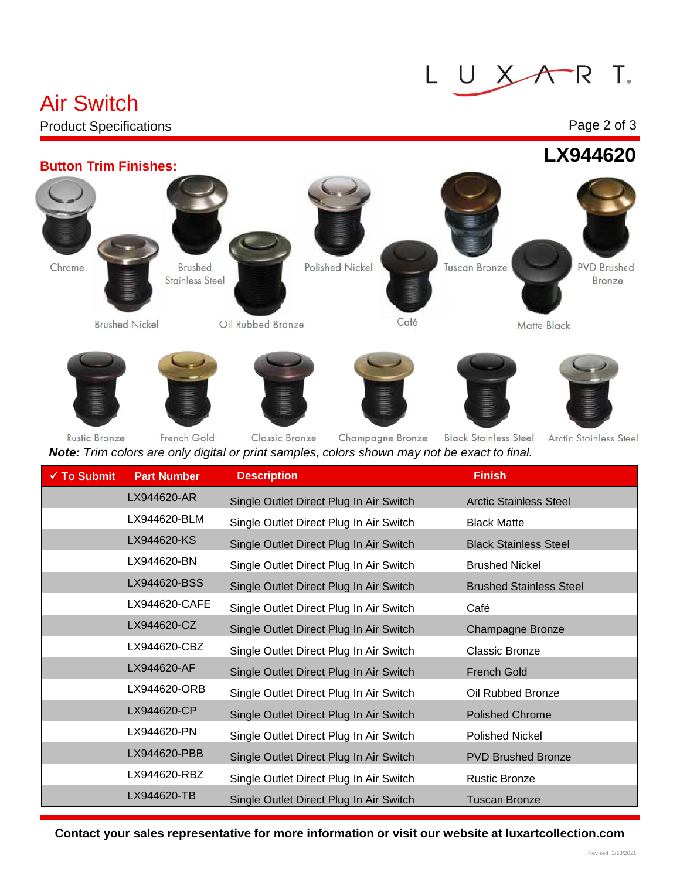#### $\nabla R$  T. L U X

## Air Switch

#### Product Specifications

#### Page 2 of 3





| $\checkmark$ To Submit | <b>Part Number</b> | <b>Description</b>                      | <b>Finish</b>                  |
|------------------------|--------------------|-----------------------------------------|--------------------------------|
|                        | LX944620-AR        | Single Outlet Direct Plug In Air Switch | <b>Arctic Stainless Steel</b>  |
|                        | LX944620-BLM       | Single Outlet Direct Plug In Air Switch | <b>Black Matte</b>             |
|                        | LX944620-KS        | Single Outlet Direct Plug In Air Switch | <b>Black Stainless Steel</b>   |
|                        | LX944620-BN        | Single Outlet Direct Plug In Air Switch | <b>Brushed Nickel</b>          |
|                        | LX944620-BSS       | Single Outlet Direct Plug In Air Switch | <b>Brushed Stainless Steel</b> |
|                        | LX944620-CAFE      | Single Outlet Direct Plug In Air Switch | Café                           |
|                        | LX944620-CZ        | Single Outlet Direct Plug In Air Switch | Champagne Bronze               |
|                        | LX944620-CBZ       | Single Outlet Direct Plug In Air Switch | <b>Classic Bronze</b>          |
|                        | LX944620-AF        | Single Outlet Direct Plug In Air Switch | <b>French Gold</b>             |
|                        | LX944620-ORB       | Single Outlet Direct Plug In Air Switch | Oil Rubbed Bronze              |
|                        | LX944620-CP        | Single Outlet Direct Plug In Air Switch | <b>Polished Chrome</b>         |
|                        | LX944620-PN        | Single Outlet Direct Plug In Air Switch | <b>Polished Nickel</b>         |
|                        | LX944620-PBB       | Single Outlet Direct Plug In Air Switch | <b>PVD Brushed Bronze</b>      |
|                        | LX944620-RBZ       | Single Outlet Direct Plug In Air Switch | <b>Rustic Bronze</b>           |
|                        | LX944620-TB        | Single Outlet Direct Plug In Air Switch | <b>Tuscan Bronze</b>           |

**Contact your sales representative for more information or visit our website at luxartcollection.com**